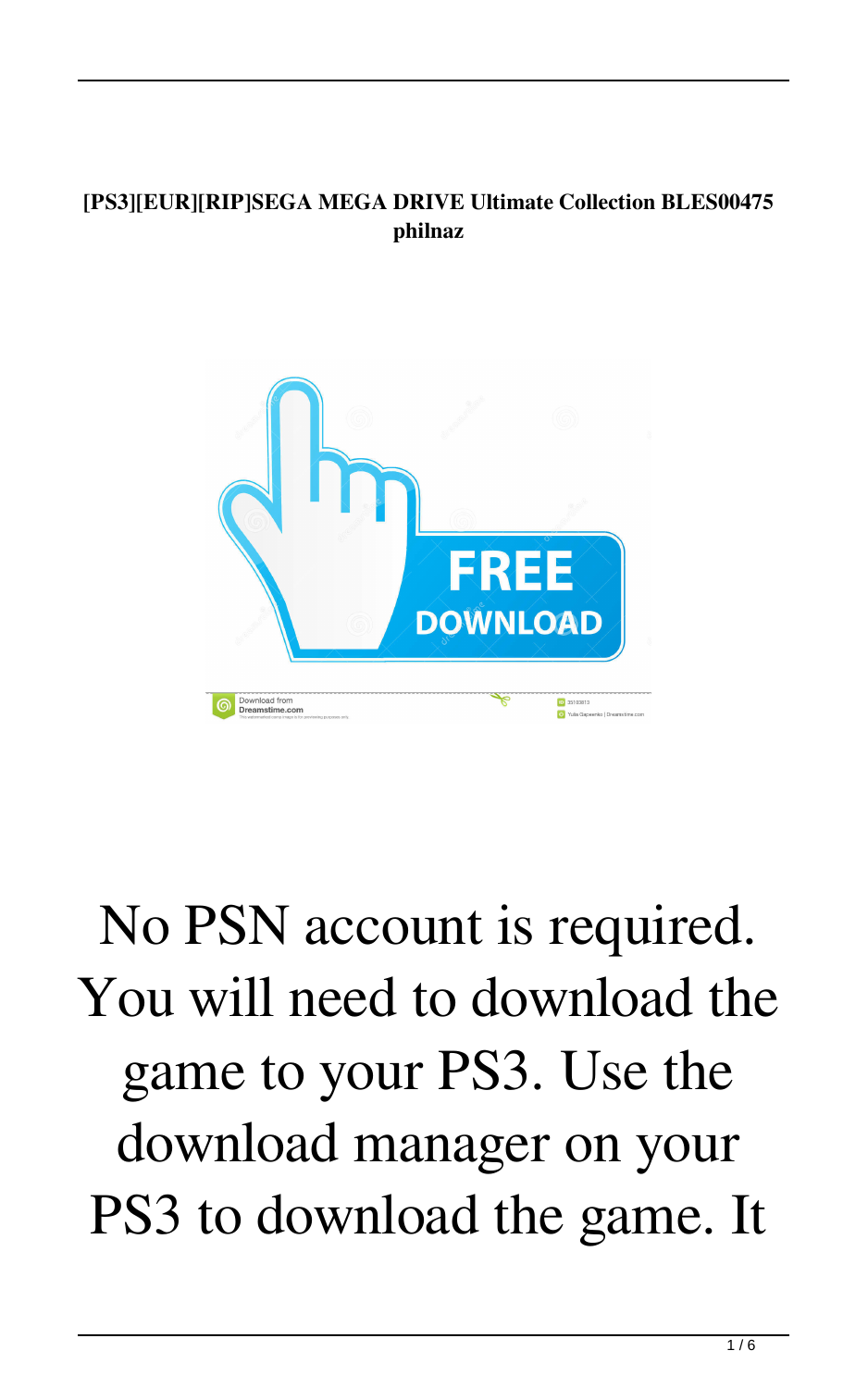## **[PS3][EUR][RIP]SEGA MEGA DRIVE Ultimate Collection BLES00475 philnaz**



## No PSN account is required. You will need to download the game to your PS3. Use the download manager on your PS3 to download the game. It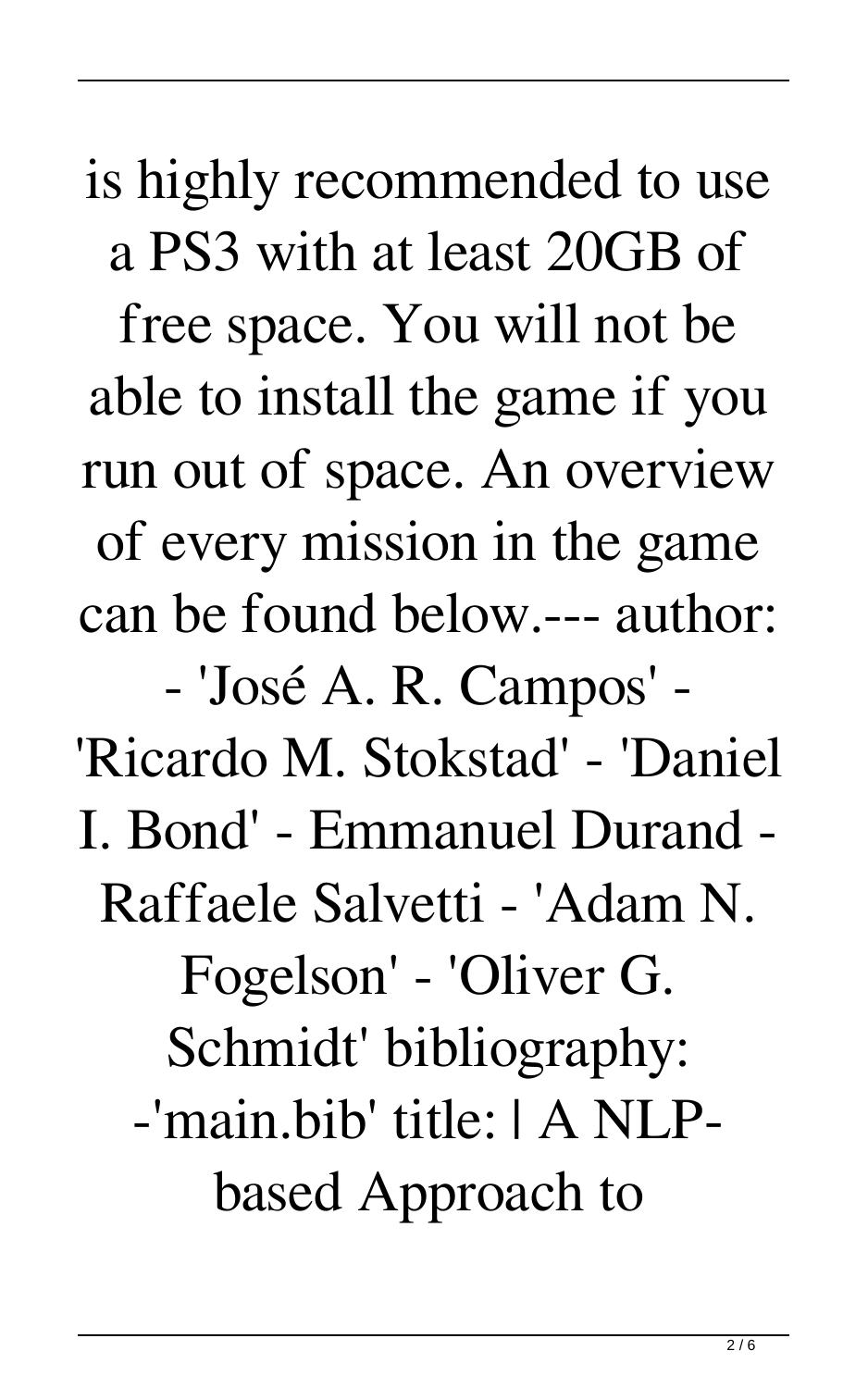is highly recommended to use a PS3 with at least 20GB of

free space. You will not be able to install the game if you run out of space. An overview of every mission in the game can be found below.--- author:

- 'José A. R. Campos' - 'Ricardo M. Stokstad' - 'Daniel I. Bond' - Emmanuel Durand - Raffaele Salvetti - 'Adam N. Fogelson' - 'Oliver G. Schmidt' bibliography: -'main.bib' title: | A NLPbased Approach to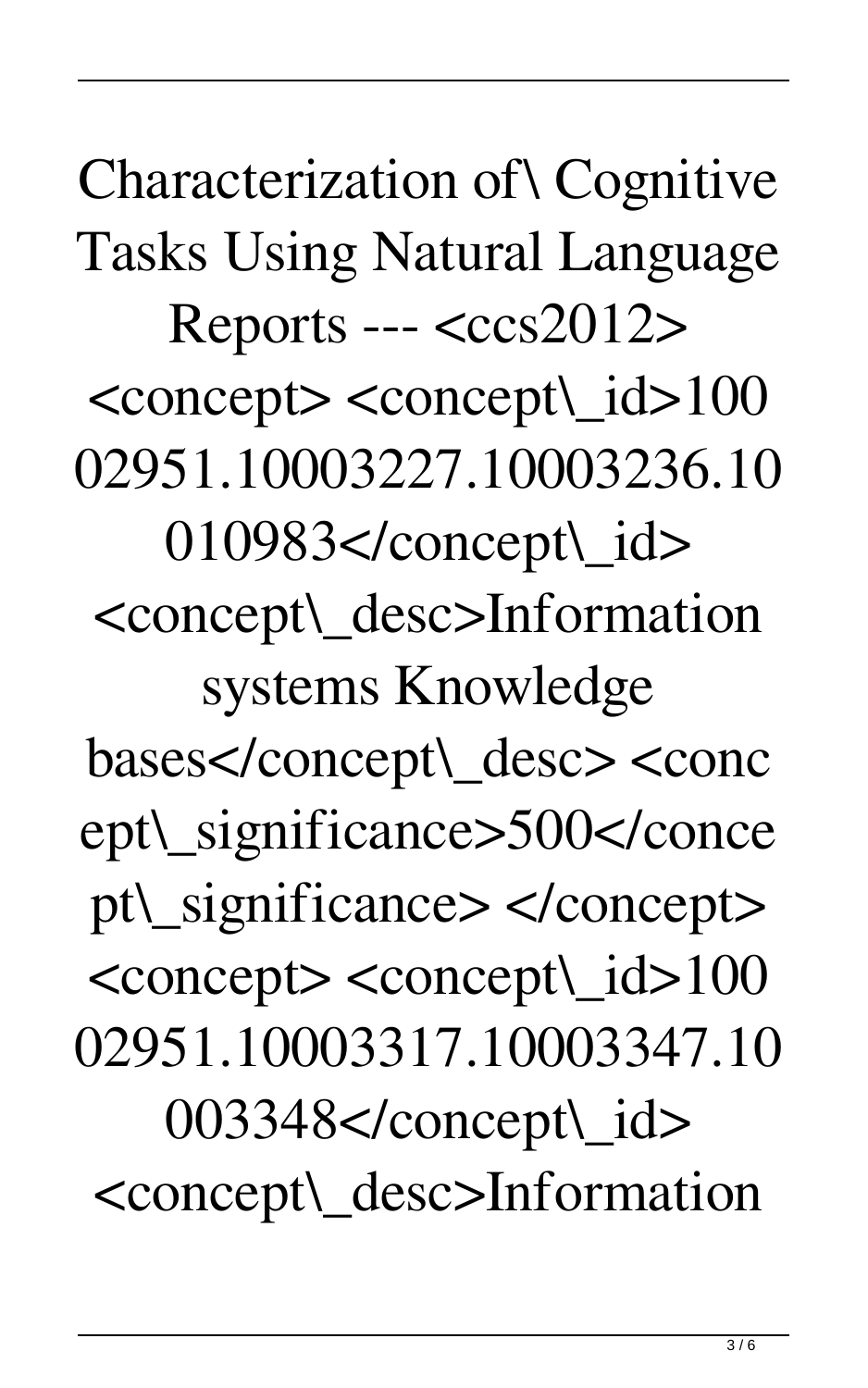Characterization of\ Cognitive Tasks Using Natural Language  $Reports --$ <concept> <concept\\_id>100 02951.10003227.10003236.10 010983</concept\\_id> <concept\\_desc>Information systems Knowledge bases</concept\\_desc> <conc ept\\_significance>500</conce pt\\_significance> </concept> <concept> <concept\\_id>100 02951.10003317.10003347.10 003348</concept\\_id> <concept\\_desc>Information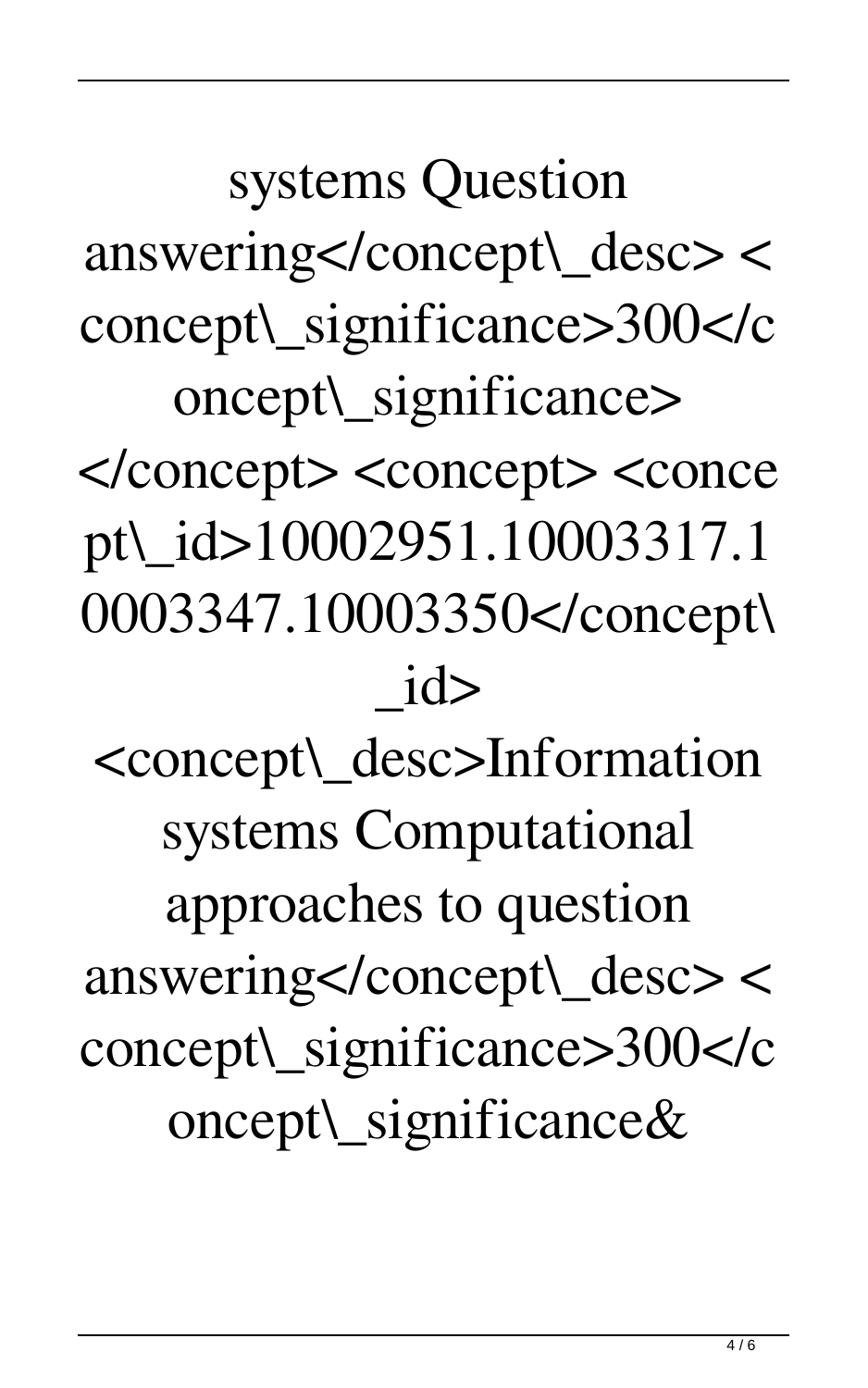systems Question answering</concept\\_desc> < concept\\_significance>300</c oncept\\_significance>

</concept> <concept> <conce pt\\_id>10002951.10003317.1 0003347.10003350</concept\  $id$ 

<concept\\_desc>Information systems Computational approaches to question answering</concept\\_desc> < concept\\_significance>300</c oncept\\_significance&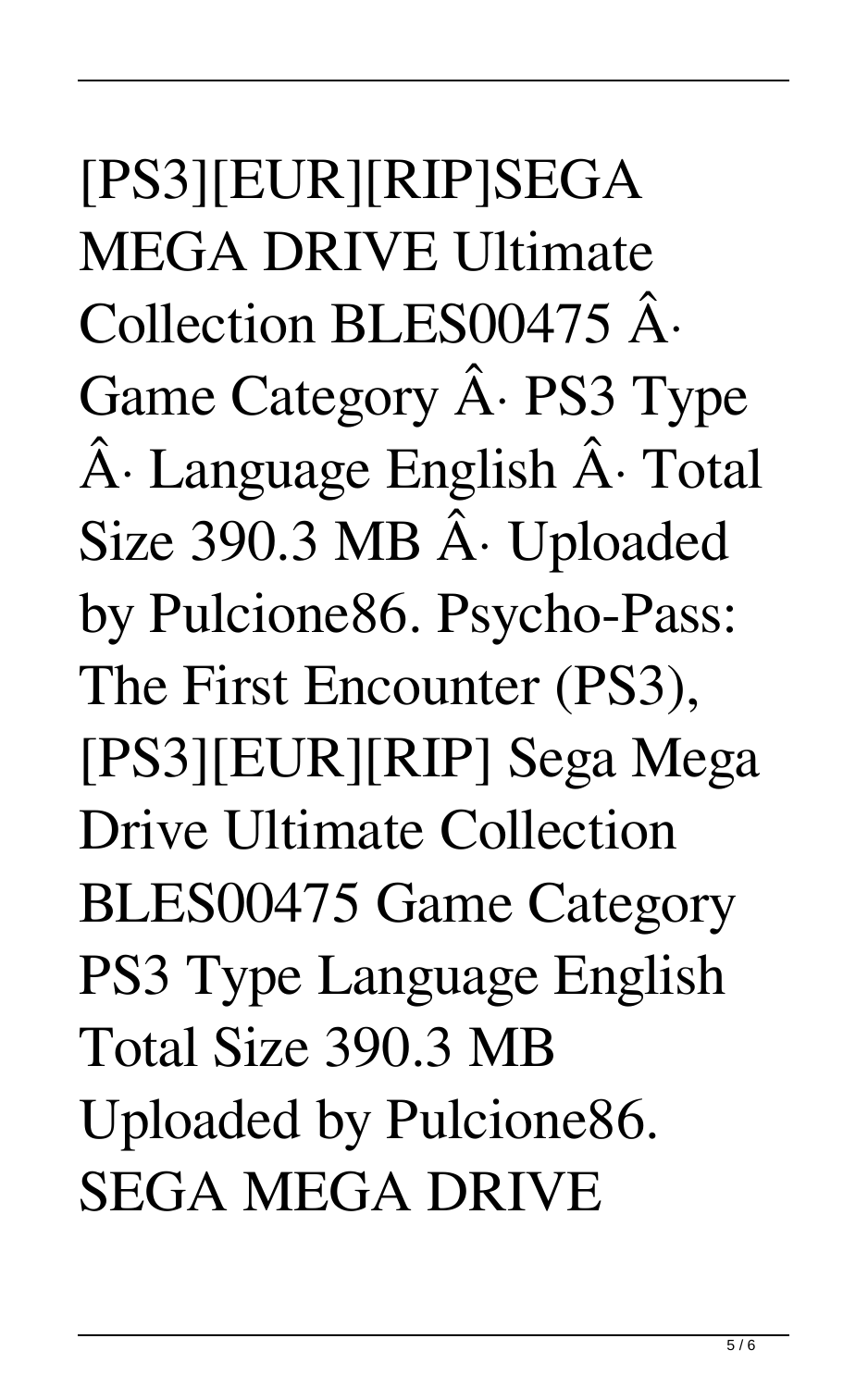[PS3][EUR][RIP]SEGA MEGA DRIVE Ultimate Collection BLES00475 Â. Game Category  $\hat{A}$ . PS3 Type  $\hat{A}$ · Language English  $\hat{A}$ · Total Size 390.3 MB Â Uploaded by Pulcione86. Psycho-Pass: The First Encounter (PS3), [PS3][EUR][RIP] Sega Mega Drive Ultimate Collection BLES00475 Game Category PS3 Type Language English Total Size 390.3 MB Uploaded by Pulcione86. SEGA MEGA DRIVE